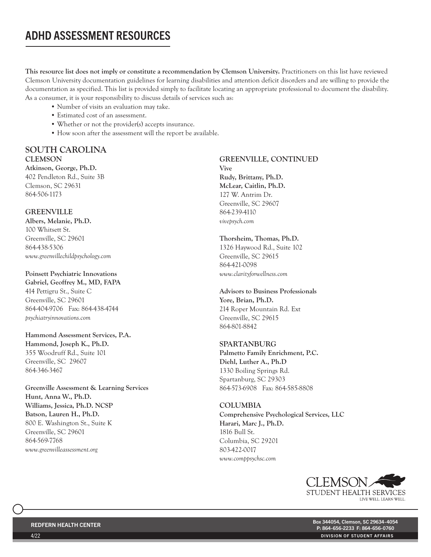# ADHD ASSESSMENT RESOURCES

This resource list does not imply or constitute a recommendation by Clemson University. Practitioners on this list have reviewed Clemson University documentation guidelines for learning disabilities and attention deficit disorders and are willing to provide the documentation as specified. This list is provided simply to facilitate locating an appropriate professional to document the disability. As a consumer, it is your responsibility to discuss details of services such as:

- Number of visits an evaluation may take.
- Estimated cost of an assessment.
- Whether or not the provider(s) accepts insurance.
- How soon after the assessment will the report be available.

# SOUTH CAROLINA **CLEMSON**

Atkinson, George, Ph.D. 402 Pendleton Rd., Suite 3B Clemson, SC 29631 864-506-1173

## GREENVILLE

Albers, Melanie, Ph.D. 100 Whitsett St. Greenville, SC 29601 864-438-5306 *www.greenvillechildpsychology.com*

#### Poinsett Psychiatric Innovations

Gabriel, Geoffrey M., MD, FAPA 414 Pettigru St., Suite C Greenville, SC 29601 864-404-9706 Fax: 864-438-4744 *psychiatryinnovations.com*

Hammond Assessment Services, P.A. Hammond, Joseph K., Ph.D. 355 Woodruff Rd., Suite 101 Greenville, SC 29607 864-346-3467

Greenville Assessment & Learning Services Hunt, Anna W., Ph.D. Williams, Jessica, Ph.D. NCSP Batson, Lauren H., Ph.D. 800 E. Washington St., Suite K Greenville, SC 29601 864-569-7768 *www.greenvilleassessment.org*

# GREENVILLE, CONTINUED

Vive Rudy, Brittany, Ph.D. McLear, Caitlin, Ph.D. 127 W. Antrim Dr. Greenville, SC 29607 864-239-4110 *vivepsych.com*

#### Thorsheim, Thomas, Ph.D. 1326 Haywood Rd., Suite 102 Greenville, SC 29615 864-421-0098

*www.clarityforwellness.com*

#### Advisors to Business Professionals Yore, Brian, Ph.D.

214 Roper Mountain Rd. Ext Greenville, SC 29615 864-801-8842

## SPARTANBURG

Palmetto Family Enrichment, P.C. Diehl, Luther A., Ph.D 1330 Boiling Springs Rd. Spartanburg, SC 29303 864-573-6908 Fax: 864-585-8808

# COLUMBIA

Comprehensive Psychological Services, LLC Harari, Marc J., Ph.D. 1816 Bull St. Columbia, SC 29201 803-422-0017 *www.comppsychsc.com*